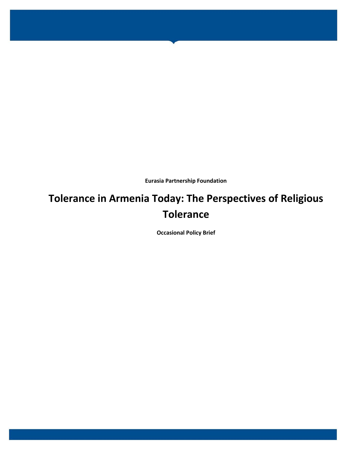**Eurasia Partnership Foundation**

# **Tolerance in Armenia Today: The Perspectives of Religious Tolerance**

**Occasional Policy Brief**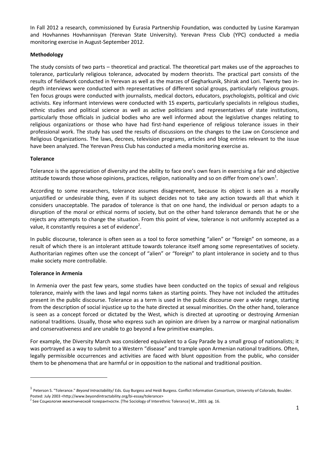In Fall 2012 a research, commissioned by Eurasia Partnership Foundation, was conducted by Lusine Karamyan and Hovhannes Hovhannisyan (Yerevan State University). Yerevan Press Club (YPC) conducted a media monitoring exercise in August-September 2012.

## **Methodology**

The study consists of two parts – theoretical and practical. The theoretical part makes use of the approaches to tolerance, particularly religious tolerance, advocated by modern theorists. The practical part consists of the results of fieldwork conducted in Yerevan as well as the marzes of Gegharkunik, Shirak and Lori. Twenty two indepth interviews were conducted with representatives of different social groups, particularly religious groups. Ten focus groups were conducted with journalists, medical doctors, educators, psychologists, political and civic activists. Key informant interviews were conducted with 15 experts, particularly specialists in religious studies, ethnic studies and political science as well as active politicians and representatives of state institutions, particularly those officials in judicial bodies who are well informed about the legislative changes relating to religious organizations or those who have had first-hand experience of religious tolerance issues in their professional work. The study has used the results of discussions on the changes to the Law on Conscience and Religious Organizations. The laws, decrees, television programs, articles and blog entries relevant to the issue have been analyzed. The Yerevan Press Club has conducted a media monitoring exercise as.

#### **Tolerance**

Tolerance is the appreciation of diversity and the ability to face one's own fears in exercising a fair and objective attitude towards those whose opinions, practices, religion, nationality and so on differ from one's own<sup>1</sup>.

According to some researchers, tolerance assumes disagreement, because its object is seen as a morally unjustified or undesirable thing, even if its subject decides not to take any action towards all that which it considers unacceptable. The paradox of tolerance is that on one hand, the individual or person adapts to a disruption of the moral or ethical norms of society, but on the other hand tolerance demands that he or she rejects any attempts to change the situation. From this point of view, tolerance is not uniformly accepted as a value, it constantly requires a set of evidence<sup>2</sup>.

In public discourse, tolerance is often seen as a tool to force something "alien" or "foreign" on someone, as a result of which there is an intolerant attitude towards tolerance itself among some representatives of society. Authoritarian regimes often use the concept of "alien" or "foreign" to plant intolerance in society and to thus make society more controllable.

#### **Tolerance in Armenia**

**.** 

In Armenia over the past few years, some studies have been conducted on the topics of sexual and religious tolerance, mainly with the laws and legal norms taken as starting points. They have not included the attitudes present in the public discourse. Tolerance as a term is used in the public discourse over a wide range, starting from the description of social injustice up to the hate directed at sexual minorities. On the other hand, tolerance is seen as a concept forced or dictated by the West, which is directed at uprooting or destroying Armenian national traditions. Usually, those who express such an opinion are driven by a narrow or marginal nationalism and conservativeness and are unable to go beyond a few primitive examples.

For example, the Diversity March was considered equivalent to a Gay Parade by a small group of nationalists; it was portrayed as a way to submit to a Western "disease" and trample upon Armenian national traditions. Often, legally permissible occurrences and activities are faced with blunt opposition from the public, who consider them to be phenomena that are harmful or in opposition to the national and traditional position.

<sup>1</sup> Peterson S. "Tolerance." *Beyond Intractability*/ Eds. Guy Burgess and Heidi Burgess. Conflict Information Consortium, University of Colorado, Boulder. Posted: July 2003 [<http://www.beyondintractability.org/bi-essay/tolerance>](http://www.beyondintractability.org/bi-essay/tolerance)

<sup>&</sup>lt;sup>2</sup> See Социология межэтнической толерантности. [The Sociology of Interethnic Tolerance] М., 2003. pg. 16.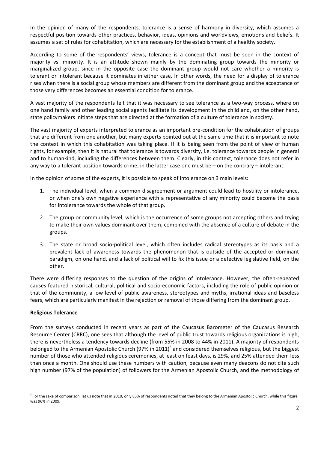In the opinion of many of the respondents, tolerance is a sense of harmony in diversity, which assumes a respectful position towards other practices, behavior, ideas, opinions and worldviews, emotions and beliefs. It assumes a set of rules for cohabitation, which are necessary for the establishment of a healthy society.

According to some of the respondents' views, tolerance is a concept that must be seen in the context of majority vs. minority. It is an attitude shown mainly by the dominating group towards the minority or marginalized group, since in the opposite case the dominant group would not care whether a minority is tolerant or intolerant because it dominates in either case. In other words, the need for a display of tolerance rises when there is a social group whose members are different from the dominant group and the acceptance of those very differences becomes an essential condition for tolerance.

A vast majority of the respondents felt that it was necessary to see tolerance as a two-way process, where on one hand family and other leading social agents facilitate its development in the child and, on the other hand, state policymakers initiate steps that are directed at the formation of a culture of tolerance in society.

The vast majority of experts interpreted tolerance as an important pre-condition for the cohabitation of groups that are different from one another, but many experts pointed out at the same time that it is important to note the context in which this cohabitation was taking place. If it is being seen from the point of view of human rights, for example, then it is natural that tolerance is towards diversity, i.e. tolerance towards people in general and to humankind, including the differences between them. Clearly, in this context, tolerance does not refer in any way to a tolerant position towards crime; in the latter case one must be – on the contrary – intolerant.

In the opinion of some of the experts, it is possible to speak of intolerance on 3 main levels:

- 1. The individual level, when a common disagreement or argument could lead to hostility or intolerance, or when one's own negative experience with a representative of any minority could become the basis for intolerance towards the whole of that group.
- 2. The group or community level, which is the occurrence of some groups not accepting others and trying to make their own values dominant over them, combined with the absence of a culture of debate in the groups.
- 3. The state or broad socio-political level, which often includes radical stereotypes as its basis and a prevalent lack of awareness towards the phenomenon that is outside of the accepted or dominant paradigm, on one hand, and a lack of political will to fix this issue or a defective legislative field, on the other.

There were differing responses to the question of the origins of intolerance. However, the often-repeated causes featured historical, cultural, political and socio-economic factors, including the role of public opinion or that of the community, a low level of public awareness, stereotypes and myths, irrational ideas and baseless fears, which are particularly manifest in the rejection or removal of those differing from the dominant group.

#### **Religious Tolerance**

1

From the surveys conducted in recent years as part of the Caucasus Barometer of the Caucasus Research Resource Center (CRRC), one sees that although the level of public trust towards religious organizations is high, there is nevertheless a tendency towards decline (from 55% in 2008 to 44% in 2011). A majority of respondents belonged to the Armenian Apostolic Church (97% in 2011)<sup>3</sup> and considered themselves religious, but the biggest number of those who attended religious ceremonies, at least on feast days, is 29%, and 25% attended them less than once a month. One should use these numbers with caution, because even many deacons do not cite such high number (97% of the population) of followers for the Armenian Apostolic Church, and the methodology of

<sup>&</sup>lt;sup>3</sup> For the sake of comparison, let us note that in 2010, only 83% of respondents noted that they belong to the Armenian Apostolic Church, while this figure was 96% in 2009.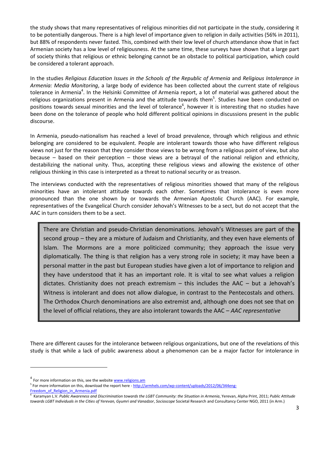the study shows that many representatives of religious minorities did not participate in the study, considering it to be potentially dangerous. There is a high level of importance given to religion in daily activities (56% in 2011), but 88% of respondents never fasted. This, combined with their low level of church attendance show that in fact Armenian society has a low level of religiousness. At the same time, these surveys have shown that a large part of society thinks that religious or ethnic belonging cannot be an obstacle to political participation, which could be considered a tolerant approach.

In the studies *Religious Education Issues in the Schools of the Republic of Armenia* and *Religious Intolerance in Armenia: Media Monitoring*, a large body of evidence has been collected about the current state of religious tolerance in Armenia<sup>4</sup>. In the Helsinki Committee of Armenia report, a lot of material was gathered about the religious organizations present in Armenia and the attitude towards them<sup>5</sup>. Studies have been conducted on positions towards sexual minorities and the level of tolerance<sup>6</sup>, however it is interesting that no studies have been done on the tolerance of people who hold different political opinions in discussions present in the public discourse.

In Armenia, pseudo-nationalism has reached a level of broad prevalence, through which religious and ethnic belonging are considered to be equivalent. People are intolerant towards those who have different religious views not just for the reason that they consider those views to be wrong from a religious point of view, but also because – based on their perception – those views are a betrayal of the national religion and ethnicity, destabilizing the national unity. Thus, accepting these religious views and allowing the existence of other religious thinking in this case is interpreted as a threat to national security or as treason.

The interviews conducted with the representatives of religious minorities showed that many of the religious minorities have an intolerant attitude towards each other. Sometimes that intolerance is even more pronounced than the one shown by or towards the Armenian Apostolic Church (AAC). For example, representatives of the Evangelical Church consider Jehovah's Witnesses to be a sect, but do not accept that the AAC in turn considers them to be a sect.

There are Christian and pseudo-Christian denominations. Jehovah's Witnesses are part of the second group – they are a mixture of Judaism and Christianity, and they even have elements of Islam. The Mormons are a more politicized community; they approach the issue very diplomatically. The thing is that religion has a very strong role in society; it may have been a personal matter in the past but European studies have given a lot of importance to religion and they have understood that it has an important role. It is vital to see what values a religion dictates. Christianity does not preach extremism  $-$  this includes the AAC  $-$  but a Jehovah's Witness is intolerant and does not allow dialogue, in contrast to the Pentecostals and others. The Orthodox Church denominations are also extremist and, although one does not see that on the level of official relations, they are also intolerant towards the AAC – *AAC representative*

There are different causes for the intolerance between religious organizations, but one of the revelations of this study is that while a lack of public awareness about a phenomenon can be a major factor for intolerance in

**.** 

<sup>&</sup>lt;sup>4</sup> For more information on this, see the websit[e www.religions.am](http://www.religions.am/)

<sup>&</sup>lt;sup>5</sup> For more information on this, download the report here - [http://armhels.com/wp-content/uploads/2012/06/344eng-](http://armhels.com/wp-content/uploads/2012/06/344eng-Freedom_of_Religion_in_Armenia.pdf)Freedom of Religion in Armenia.pdf

<sup>6</sup> Karamyan L.V. *Public Awareness and Discrimination towards the LGBT Community: the Situation in Armenia*, Yerevan, Alpha Print, 2011; *Public Attitude towards LGBT Individuals in the Cities of Yerevan, Gyumri and Vanadzor*, *Socioscope* Societal Research and Consultancy Center NGO, 2011 (in Arm.)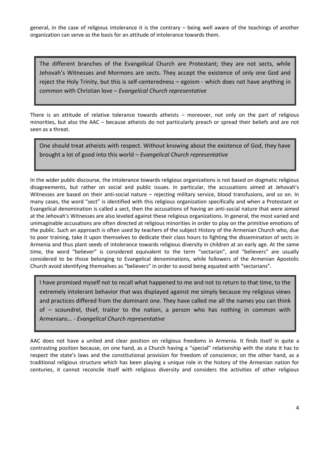general, in the case of religious intolerance it is the contrary – being well aware of the teachings of another organization can serve as the basis for an attitude of intolerance towards them.

The different branches of the Evangelical Church are Protestant; they are not sects, while Jehovah's Witnesses and Mormons are sects. They accept the existence of only one God and reject the Holy Trinity, but this is self-centeredness – egoism - which does not have anything in common with Christian love – *Evangelical Church representative*

There is an attitude of relative tolerance towards atheists – moreover, not only on the part of religious minorities, but also the AAC – because atheists do not particularly preach or spread their beliefs and are not seen as a threat.

One should treat atheists with respect. Without knowing about the existence of God, they have brought a lot of good into this world – *Evangelical Church representative*

In the wider public discourse, the intolerance towards religious organizations is not based on dogmatic religious disagreements, but rather on social and public issues. In particular, the accusations aimed at Jehovah's Witnesses are based on their anti-social nature – rejecting military service, blood transfusions, and so on. In many cases, the word "sect" is identified with this religious organization specifically and when a Protestant or Evangelical denomination is called a sect, then the accusations of having an anti-social nature that were aimed at the Jehovah's Witnesses are also leveled against these religious organizations. In general, the most varied and unimaginable accusations are often directed at religious minorities in order to play on the primitive emotions of the public. Such an approach is often used by teachers of the subject History of the Armenian Church who, due to poor training, take it upon themselves to dedicate their class hours to fighting the dissemination of sects in Armenia and thus plant seeds of intolerance towards religious diversity in children at an early age. At the same time, the word "believer" is considered equivalent to the term "sectarian", and "believers" are usually considered to be those belonging to Evangelical denominations, while followers of the Armenian Apostolic Church avoid identifying themselves as "believers" in order to avoid being equated with "sectarians".

I have promised myself not to recall what happened to me and not to return to that time, to the extremely intolerant behavior that was displayed against me simply because my religious views and practices differed from the dominant one. They have called me all the names you can think of – scoundrel, thief, traitor to the nation, a person who has nothing in common with Armenians… - *Evangelical Church representative*

AAC does not have a united and clear position on religious freedoms in Armenia. It finds itself in quite a contrasting position because, on one hand, as a Church having a "special" relationship with the state it has to respect the state's laws and the constitutional provision for freedom of conscience; on the other hand, as a traditional religious structure which has been playing a unique role in the history of the Armenian nation for centuries, it cannot reconcile itself with religious diversity and considers the activities of other religious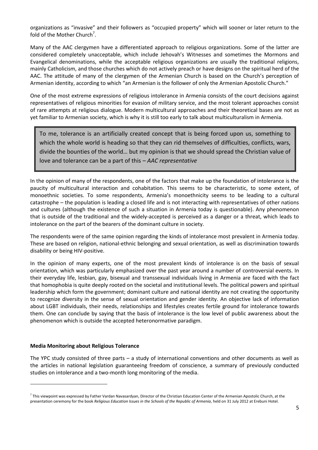organizations as "invasive" and their followers as "occupied property" which will sooner or later return to the fold of the Mother Church<sup>7</sup>.

Many of the AAC clergymen have a differentiated approach to religious organizations. Some of the latter are considered completely unacceptable, which include Jehovah's Witnesses and sometimes the Mormons and Evangelical denominations, while the acceptable religious organizations are usually the traditional religions, mainly Catholicism, and those churches which do not actively preach or have designs on the spiritual herd of the AAC. The attitude of many of the clergymen of the Armenian Church is based on the Church's perception of Armenian identity, according to which "an Armenian is the follower of only the Armenian Apostolic Church."

One of the most extreme expressions of religious intolerance in Armenia consists of the court decisions against representatives of religious minorities for evasion of military service, and the most tolerant approaches consist of rare attempts at religious dialogue. Modern multicultural approaches and their theoretical bases are not as yet familiar to Armenian society, which is why it is still too early to talk about multiculturalism in Armenia.

To me, tolerance is an artificially created concept that is being forced upon us, something to which the whole world is heading so that they can rid themselves of difficulties, conflicts, wars, divide the bounties of the world… but my opinion is that we should spread the Christian value of love and tolerance can be a part of this – *AAC representative*

In the opinion of many of the respondents, one of the factors that make up the foundation of intolerance is the paucity of multicultural interaction and cohabitation. This seems to be characteristic, to some extent, of monoethnic societies. To some respondents, Armenia's monoethnicity seems to be leading to a cultural catastrophe – the population is leading a closed life and is not interacting with representatives of other nations and cultures (although the existence of such a situation in Armenia today is questionable). Any phenomenon that is outside of the traditional and the widely-accepted is perceived as a danger or a threat, which leads to intolerance on the part of the bearers of the dominant culture in society.

The respondents were of the same opinion regarding the kinds of intolerance most prevalent in Armenia today. These are based on religion, national-ethnic belonging and sexual orientation, as well as discrimination towards disability or being HIV-positive.

In the opinion of many experts, one of the most prevalent kinds of intolerance is on the basis of sexual orientation, which was particularly emphasized over the past year around a number of controversial events. In their everyday life, lesbian, gay, bisexual and transsexual individuals living in Armenia are faced with the fact that homophobia is quite deeply rooted on the societal and institutional levels. The political powers and spiritual leadership which form the government; dominant culture and national identity are not creating the opportunity to recognize diversity in the sense of sexual orientation and gender identity. An objective lack of information about LGBT individuals, their needs, relationships and lifestyles creates fertile ground for intolerance towards them. One can conclude by saying that the basis of intolerance is the low level of public awareness about the phenomenon which is outside the accepted heteronormative paradigm.

#### **Media Monitoring about Religious Tolerance**

1

The YPC study consisted of three parts – a study of international conventions and other documents as well as the articles in national legislation guaranteeing freedom of conscience, a summary of previously conducted studies on intolerance and a two-month long monitoring of the media.

<sup>&</sup>lt;sup>7</sup> This viewpoint was expressed by Father Vardan Navasardyan, Director of the Christian Education Center of the Armenian Apostolic Church, at the presentation ceremony for the book *Religious Education Issues in the Schools of the Republic of Armenia*, held on 31 July 2012 at Erebuni Hotel.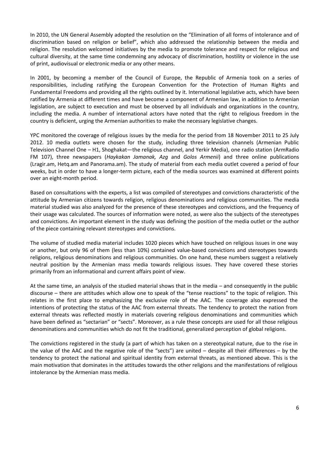In 2010, the UN General Assembly adopted the resolution on the "Elimination of all forms of intolerance and of discrimination based on religion or belief", which also addressed the relationship between the media and religion. The resolution welcomed initiatives by the media to promote tolerance and respect for religious and cultural diversity, at the same time condemning any advocacy of discrimination, hostility or violence in the use of print, audiovisual or electronic media or any other means.

In 2001, by becoming a member of the Council of Europe, the Republic of Armenia took on a series of responsibilities, including ratifying the European Convention for the Protection of Human Rights and Fundamental Freedoms and providing all the rights outlined by it. International legislative acts, which have been ratified by Armenia at different times and have become a component of Armenian law, in addition to Armenian legislation, are subject to execution and must be observed by all individuals and organizations in the country, including the media. A number of international actors have noted that the right to religious freedom in the country is deficient, urging the Armenian authorities to make the necessary legislative changes.

YPC monitored the coverage of religious issues by the media for the period from 18 November 2011 to 25 July 2012. 10 media outlets were chosen for the study, including three television channels (Armenian Public Television Channel One – H1, Shoghakat—the religious channel, and Yerkir Media), one radio station (ArmRadio FM 107), three newspapers (*Haykakan Jamanak, Azg* and *Golos Armenii*) and three online publications (Lragir.am, Hetq.am and Panorama.am). The study of material from each media outlet covered a period of four weeks, but in order to have a longer-term picture, each of the media sources was examined at different points over an eight-month period.

Based on consultations with the experts, a list was compiled of stereotypes and convictions characteristic of the attitude by Armenian citizens towards religion, religious denominations and religious communities. The media material studied was also analyzed for the presence of these stereotypes and convictions, and the frequency of their usage was calculated. The sources of information were noted, as were also the subjects of the stereotypes and convictions. An important element in the study was defining the position of the media outlet or the author of the piece containing relevant stereotypes and convictions.

The volume of studied media material includes 1020 pieces which have touched on religious issues in one way or another, but only 96 of them (less than 10%) contained value-based convictions and stereotypes towards religions, religious denominations and religious communities. On one hand, these numbers suggest a relatively neutral position by the Armenian mass media towards religious issues. They have covered these stories primarily from an informational and current affairs point of view.

At the same time, an analysis of the studied material shows that in the media – and consequently in the public discourse – there are attitudes which allow one to speak of the "tense reactions" to the topic of religion. This relates in the first place to emphasizing the exclusive role of the AAC. The coverage also expressed the intentions of protecting the status of the AAC from external threats. The tendency to protect the nation from external threats was reflected mostly in materials covering religious denominations and communities which have been defined as "sectarian" or "sects". Moreover, as a rule these concepts are used for all those religious denominations and communities which do not fit the traditional, generalized perception of global religions.

The convictions registered in the study (a part of which has taken on a stereotypical nature, due to the rise in the value of the AAC and the negative role of the "sects") are united – despite all their differences – by the tendency to protect the national and spiritual identity from external threats, as mentioned above. This is the main motivation that dominates in the attitudes towards the other religions and the manifestations of religious intolerance by the Armenian mass media.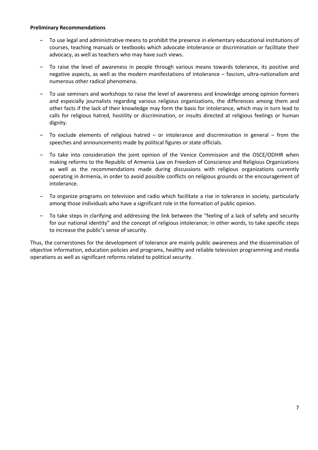#### **Preliminary Recommendations**

- To use legal and administrative means to prohibit the presence in elementary educational institutions of courses, teaching manuals or textbooks which advocate intolerance or discrimination or facilitate their advocacy, as well as teachers who may have such views.
- To raise the level of awareness in people through various means towards tolerance, its positive and negative aspects, as well as the modern manifestations of intolerance – fascism, ultra-nationalism and numerous other radical phenomena.
- To use seminars and workshops to raise the level of awareness and knowledge among opinion formers and especially journalists regarding various religious organizations, the differences among them and other facts if the lack of their knowledge may form the basis for intolerance, which may in turn lead to calls for religious hatred, hostility or discrimination, or insults directed at religious feelings or human dignity.
- To exclude elements of religious hatred or intolerance and discrimination in general from the speeches and announcements made by political figures or state officials.
- To take into consideration the joint opinion of the Venice Commission and the OSCE/ODIHR when making reforms to the Republic of Armenia Law on Freedom of Conscience and Religious Organizations as well as the recommendations made during discussions with religious organizations currently operating in Armenia, in order to avoid possible conflicts on religious grounds or the encouragement of intolerance.
- To organize programs on television and radio which facilitate a rise in tolerance in society, particularly among those individuals who have a significant role in the formation of public opinion.
- To take steps in clarifying and addressing the link between the "feeling of a lack of safety and security for our national identity" and the concept of religious intolerance; in other words, to take specific steps to increase the public's sense of security.

Thus, the cornerstones for the development of tolerance are mainly public awareness and the dissemination of objective information, education policies and programs, healthy and reliable television programming and media operations as well as significant reforms related to political security.